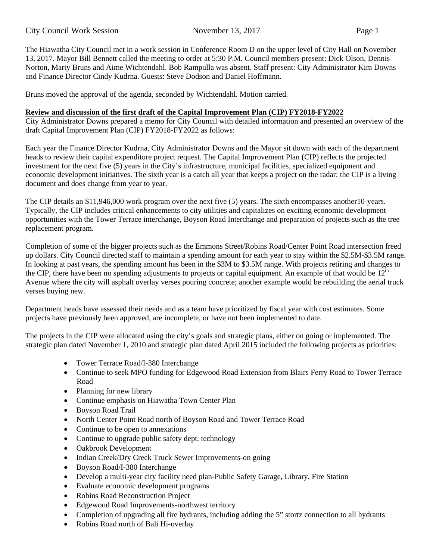The Hiawatha City Council met in a work session in Conference Room D on the upper level of City Hall on November 13, 2017. Mayor Bill Bennett called the meeting to order at 5:30 P.M. Council members present: Dick Olson, Dennis Norton, Marty Bruns and Aime Wichtendahl. Bob Rampulla was absent. Staff present: City Administrator Kim Downs and Finance Director Cindy Kudrna. Guests: Steve Dodson and Daniel Hoffmann.

Bruns moved the approval of the agenda, seconded by Wichtendahl. Motion carried.

## **Review and discussion of the first draft of the Capital Improvement Plan (CIP) FY2018-FY2022**

City Administrator Downs prepared a memo for City Council with detailed information and presented an overview of the draft Capital Improvement Plan (CIP) FY2018-FY2022 as follows:

Each year the Finance Director Kudrna, City Administrator Downs and the Mayor sit down with each of the department heads to review their capital expenditure project request. The Capital Improvement Plan (CIP) reflects the projected investment for the next five (5) years in the City's infrastructure, municipal facilities, specialized equipment and economic development initiatives. The sixth year is a catch all year that keeps a project on the radar; the CIP is a living document and does change from year to year.

The CIP details an \$11,946,000 work program over the next five (5) years. The sixth encompasses another10-years. Typically, the CIP includes critical enhancements to city utilities and capitalizes on exciting economic development opportunities with the Tower Terrace interchange, Boyson Road Interchange and preparation of projects such as the tree replacement program.

Completion of some of the bigger projects such as the Emmons Street/Robins Road/Center Point Road intersection freed up dollars. City Council directed staff to maintain a spending amount for each year to stay within the \$2.5M-\$3.5M range. In looking at past years, the spending amount has been in the \$3M to \$3.5M range. With projects retiring and changes to the CIP, there have been no spending adjustments to projects or capital equipment. An example of that would be  $12<sup>th</sup>$ Avenue where the city will asphalt overlay verses pouring concrete; another example would be rebuilding the aerial truck verses buying new.

Department heads have assessed their needs and as a team have prioritized by fiscal year with cost estimates. Some projects have previously been approved, are incomplete, or have not been implemented to date.

The projects in the CIP were allocated using the city's goals and strategic plans, either on going or implemented. The strategic plan dated November 1, 2010 and strategic plan dated April 2015 included the following projects as priorities:

- Tower Terrace Road/I-380 Interchange
- Continue to seek MPO funding for Edgewood Road Extension from Blairs Ferry Road to Tower Terrace Road
- Planning for new library
- Continue emphasis on Hiawatha Town Center Plan
- Boyson Road Trail
- North Center Point Road north of Boyson Road and Tower Terrace Road
- Continue to be open to annexations
- Continue to upgrade public safety dept. technology
- Oakbrook Development
- Indian Creek/Dry Creek Truck Sewer Improvements-on going
- Boyson Road/I-380 Interchange
- Develop a multi-year city facility need plan-Public Safety Garage, Library, Fire Station
- Evaluate economic development programs
- Robins Road Reconstruction Project
- Edgewood Road Improvements-northwest territory
- Completion of upgrading all fire hydrants, including adding the 5" stortz connection to all hydrants
- Robins Road north of Bali Hi-overlay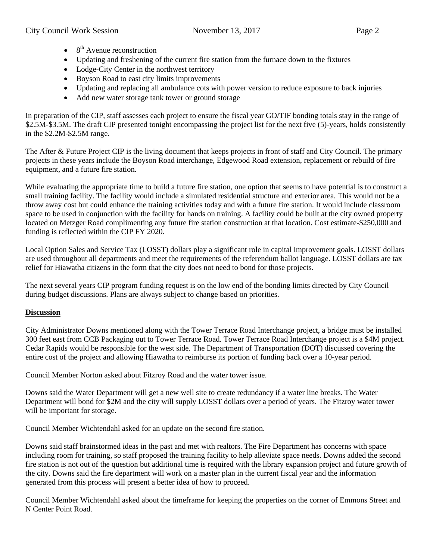- $\bullet$  8<sup>th</sup> Avenue reconstruction
- Updating and freshening of the current fire station from the furnace down to the fixtures
- Lodge-City Center in the northwest territory
- Boyson Road to east city limits improvements
- Updating and replacing all ambulance cots with power version to reduce exposure to back injuries
- Add new water storage tank tower or ground storage

In preparation of the CIP, staff assesses each project to ensure the fiscal year GO/TIF bonding totals stay in the range of \$2.5M-\$3.5M. The draft CIP presented tonight encompassing the project list for the next five (5)-years, holds consistently in the \$2.2M-\$2.5M range.

The After & Future Project CIP is the living document that keeps projects in front of staff and City Council. The primary projects in these years include the Boyson Road interchange, Edgewood Road extension, replacement or rebuild of fire equipment, and a future fire station.

While evaluating the appropriate time to build a future fire station, one option that seems to have potential is to construct a small training facility. The facility would include a simulated residential structure and exterior area. This would not be a throw away cost but could enhance the training activities today and with a future fire station. It would include classroom space to be used in conjunction with the facility for hands on training. A facility could be built at the city owned property located on Metzger Road complimenting any future fire station construction at that location. Cost estimate-\$250,000 and funding is reflected within the CIP FY 2020.

Local Option Sales and Service Tax (LOSST) dollars play a significant role in capital improvement goals. LOSST dollars are used throughout all departments and meet the requirements of the referendum ballot language. LOSST dollars are tax relief for Hiawatha citizens in the form that the city does not need to bond for those projects.

The next several years CIP program funding request is on the low end of the bonding limits directed by City Council during budget discussions. Plans are always subject to change based on priorities.

## **Discussion**

City Administrator Downs mentioned along with the Tower Terrace Road Interchange project, a bridge must be installed 300 feet east from CCB Packaging out to Tower Terrace Road. Tower Terrace Road Interchange project is a \$4M project. Cedar Rapids would be responsible for the west side. The Department of Transportation (DOT) discussed covering the entire cost of the project and allowing Hiawatha to reimburse its portion of funding back over a 10-year period.

Council Member Norton asked about Fitzroy Road and the water tower issue.

Downs said the Water Department will get a new well site to create redundancy if a water line breaks. The Water Department will bond for \$2M and the city will supply LOSST dollars over a period of years. The Fitzroy water tower will be important for storage.

Council Member Wichtendahl asked for an update on the second fire station.

Downs said staff brainstormed ideas in the past and met with realtors. The Fire Department has concerns with space including room for training, so staff proposed the training facility to help alleviate space needs. Downs added the second fire station is not out of the question but additional time is required with the library expansion project and future growth of the city. Downs said the fire department will work on a master plan in the current fiscal year and the information generated from this process will present a better idea of how to proceed.

Council Member Wichtendahl asked about the timeframe for keeping the properties on the corner of Emmons Street and N Center Point Road.